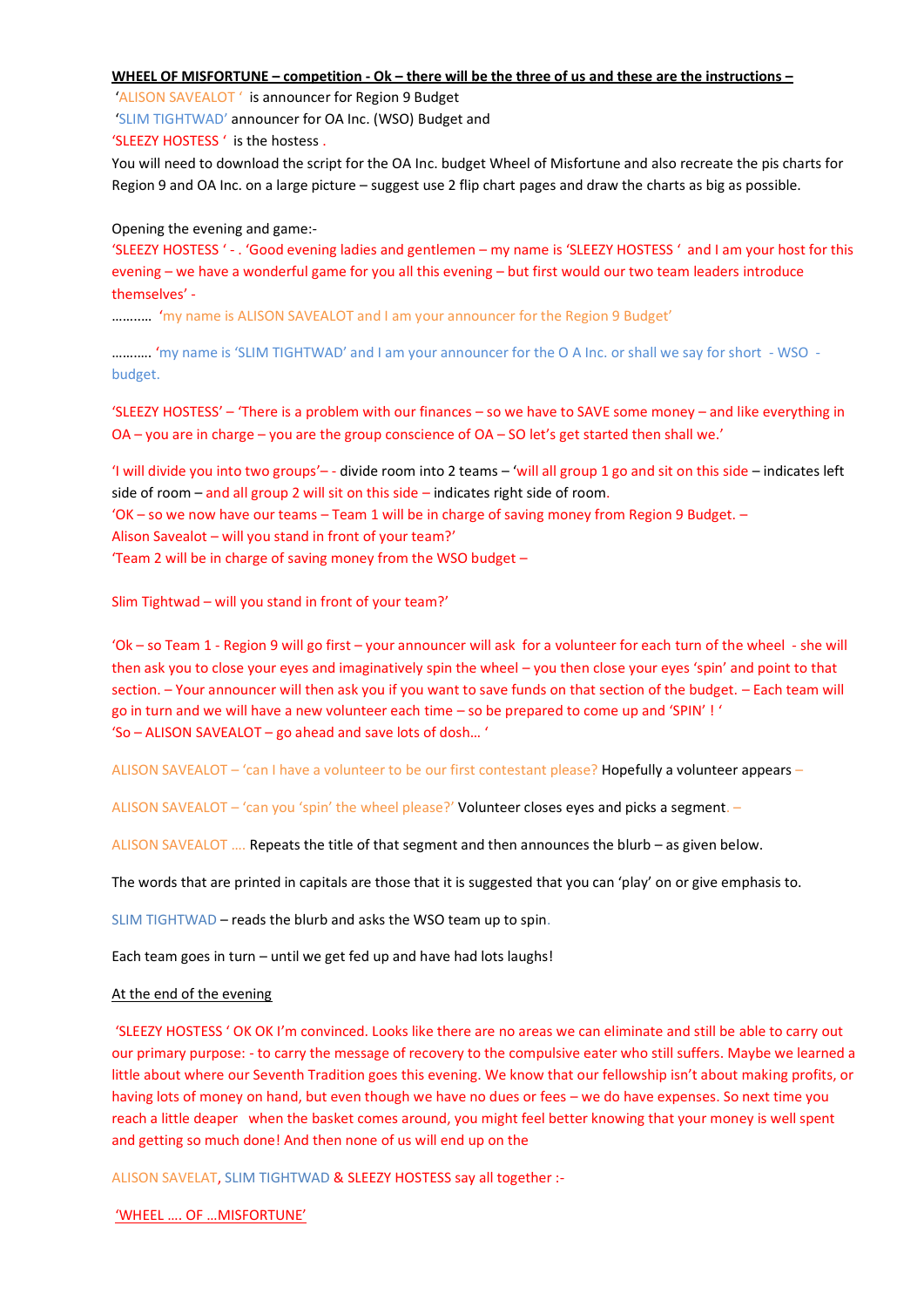#### **WHEEL OF MISFORTUNE – competition - Ok – there will be the three of us and these are the instructions –**

'ALISON SAVEALOT ' is announcer for Region 9 Budget

'SLIM TIGHTWAD' announcer for OA Inc. (WSO) Budget and

'SLEEZY HOSTESS ' is the hostess .

You will need to download the script for the OA Inc. budget Wheel of Misfortune and also recreate the pis charts for Region 9 and OA Inc. on a large picture – suggest use 2 flip chart pages and draw the charts as big as possible.

#### Opening the evening and game:-

'SLEEZY HOSTESS ' - . 'Good evening ladies and gentlemen – my name is 'SLEEZY HOSTESS ' and I am your host for this evening – we have a wonderful game for you all this evening – but first would our two team leaders introduce themselves' -

……..… 'my name is ALISON SAVEALOT and I am your announcer for the Region 9 Budget'

…….…. 'my name is 'SLIM TIGHTWAD' and I am your announcer for the O A Inc. or shall we say for short - WSO budget.

'SLEEZY HOSTESS' – 'There is a problem with our finances – so we have to SAVE some money – and like everything in OA – you are in charge – you are the group conscience of OA – SO let's get started then shall we.'

'I will divide you into two groups'– - divide room into 2 teams – 'will all group 1 go and sit on this side – indicates left side of room – and all group 2 will sit on this side – indicates right side of room.

'OK – so we now have our teams – Team 1 will be in charge of saving money from Region 9 Budget. –

Alison Savealot – will you stand in front of your team?'

'Team 2 will be in charge of saving money from the WSO budget –

Slim Tightwad – will you stand in front of your team?'

'Ok – so Team 1 - Region 9 will go first – your announcer will ask for a volunteer for each turn of the wheel - she will then ask you to close your eyes and imaginatively spin the wheel – you then close your eyes 'spin' and point to that section. – Your announcer will then ask you if you want to save funds on that section of the budget. – Each team will go in turn and we will have a new volunteer each time – so be prepared to come up and 'SPIN' ! ' 'So – ALISON SAVEALOT – go ahead and save lots of dosh… '

ALISON SAVEALOT – 'can I have a volunteer to be our first contestant please? Hopefully a volunteer appears –

ALISON SAVEALOT – 'can you 'spin' the wheel please?' Volunteer closes eyes and picks a segment. –

ALISON SAVEALOT …. Repeats the title of that segment and then announces the blurb – as given below.

The words that are printed in capitals are those that it is suggested that you can 'play' on or give emphasis to.

SLIM TIGHTWAD – reads the blurb and asks the WSO team up to spin.

Each team goes in turn – until we get fed up and have had lots laughs!

#### At the end of the evening

'SLEEZY HOSTESS ' OK OK I'm convinced. Looks like there are no areas we can eliminate and still be able to carry out our primary purpose: - to carry the message of recovery to the compulsive eater who still suffers. Maybe we learned a little about where our Seventh Tradition goes this evening. We know that our fellowship isn't about making profits, or having lots of money on hand, but even though we have no dues or fees – we do have expenses. So next time you reach a little deaper when the basket comes around, you might feel better knowing that your money is well spent and getting so much done! And then none of us will end up on the

ALISON SAVELAT, SLIM TIGHTWAD & SLEEZY HOSTESS say all together :-

'WHEEL …. OF …MISFORTUNE'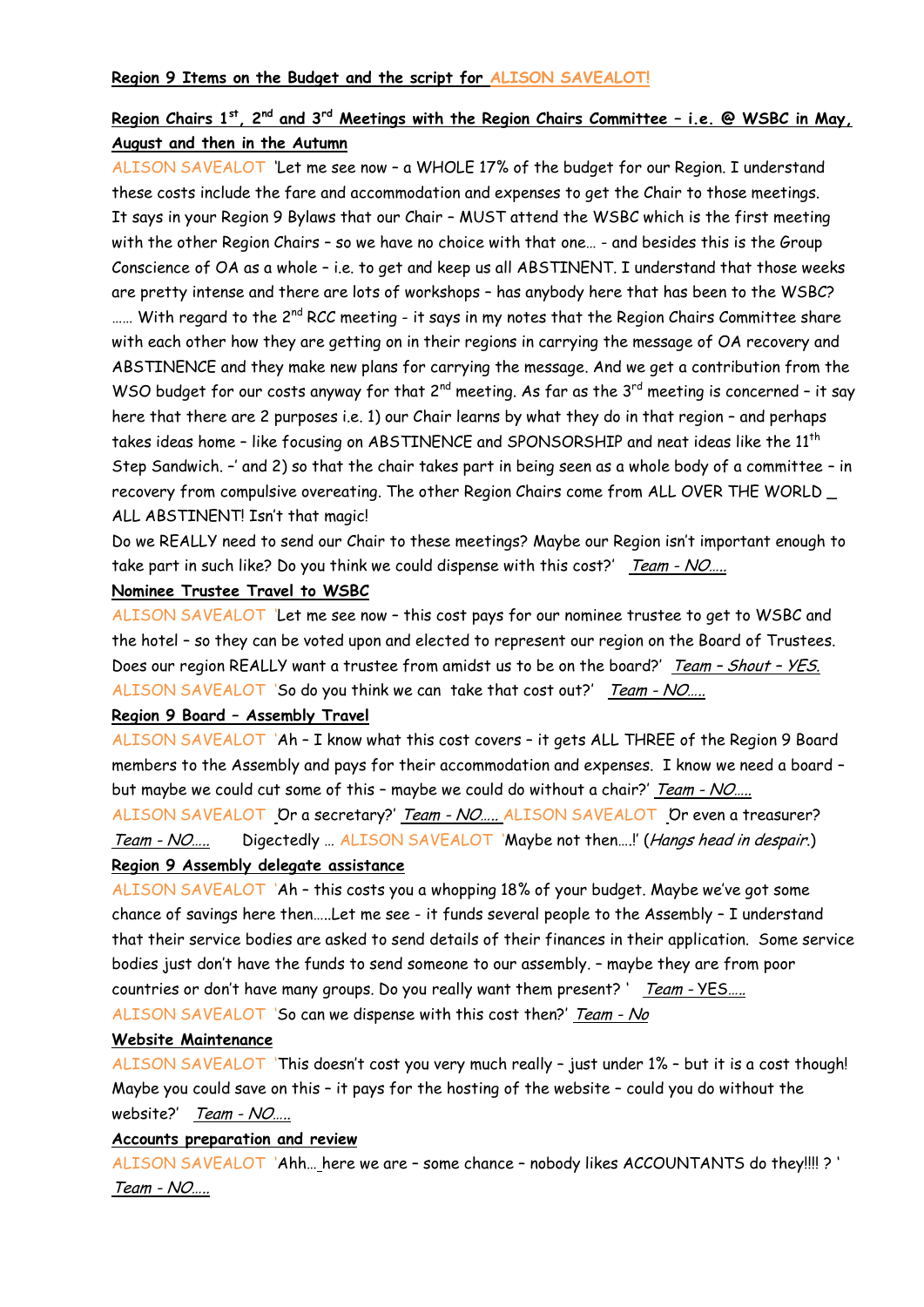# **Region Chairs 1st, 2nd and 3rd Meetings with the Region Chairs Committee – i.e. @ WSBC in May, August and then in the Autumn**

ALISON SAVEALOT 'Let me see now – a WHOLE 17% of the budget for our Region. I understand these costs include the fare and accommodation and expenses to get the Chair to those meetings. It says in your Region 9 Bylaws that our Chair – MUST attend the WSBC which is the first meeting with the other Region Chairs – so we have no choice with that one… - and besides this is the Group Conscience of OA as a whole – i.e. to get and keep us all ABSTINENT. I understand that those weeks are pretty intense and there are lots of workshops – has anybody here that has been to the WSBC? ...... With regard to the 2<sup>nd</sup> RCC meeting - it says in my notes that the Region Chairs Committee share with each other how they are getting on in their regions in carrying the message of OA recovery and ABSTINENCE and they make new plans for carrying the message. And we get a contribution from the WSO budget for our costs anyway for that  $2^{nd}$  meeting. As far as the  $3^{rd}$  meeting is concerned - it say here that there are 2 purposes i.e. 1) our Chair learns by what they do in that region – and perhaps takes ideas home - like focusing on ABSTINENCE and SPONSORSHIP and neat ideas like the 11<sup>th</sup> Step Sandwich. –' and 2) so that the chair takes part in being seen as a whole body of a committee – in recovery from compulsive overeating. The other Region Chairs come from ALL OVER THE WORLD \_ ALL ABSTINENT! Isn't that magic!

Do we REALLY need to send our Chair to these meetings? Maybe our Region isn't important enough to take part in such like? Do you think we could dispense with this cost?' Team - NO....

### **Nominee Trustee Travel to WSBC**

ALISON SAVEALOT 'Let me see now – this cost pays for our nominee trustee to get to WSBC and the hotel – so they can be voted upon and elected to represent our region on the Board of Trustees. Does our region REALLY want a trustee from amidst us to be on the board?' Team - Shout - YES. ALISON SAVEALOT 'So do you think we can take that cost out?' Team - NO.....

### **Region 9 Board – Assembly Travel**

ALISON SAVEALOT 'Ah – I know what this cost covers – it gets ALL THREE of the Region 9 Board members to the Assembly and pays for their accommodation and expenses. I know we need a board – but maybe we could cut some of this - maybe we could do without a chair?' Team - NO.....

ALISON SAVEALOT 'Or a secretary?' Team - NO..... ALISON SAVEALOT 'Or even a treasurer? Team - NO..... Digectedly ... ALISON SAVEALOT 'Maybe not then....!' (Hangs head in despair.) **Region 9 Assembly delegate assistance**

ALISON SAVEALOT 'Ah – this costs you a whopping 18% of your budget. Maybe we've got some chance of savings here then…..Let me see - it funds several people to the Assembly – I understand that their service bodies are asked to send details of their finances in their application. Some service bodies just don't have the funds to send someone to our assembly. – maybe they are from poor countries or don't have many groups. Do you really want them present? ' Team - YES..... ALISON SAVEALOT 'So can we dispense with this cost then?' Team - No

#### **Website Maintenance**

ALISON SAVEALOT 'This doesn't cost you very much really – just under 1% – but it is a cost though! Maybe you could save on this – it pays for the hosting of the website – could you do without the website?' Team - NO.....

### **Accounts preparation and review**

ALISON SAVEALOT 'Ahh… here we are – some chance – nobody likes ACCOUNTANTS do they!!!! ? ' Team - NO…..